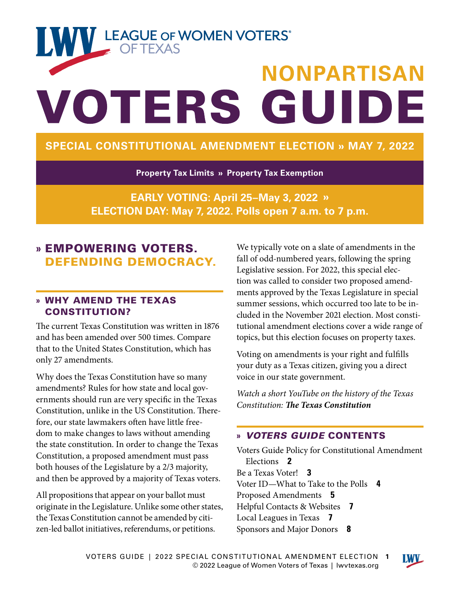# **TANY LEAGUE OF WOMEN VOTERS® NONPARTISAN** VOTERS GUIDE

### **SPECIAL CONSTITUTIONAL AMENDMENT ELECTION » MAY 7, 2022**

**Property Tax Limits » Property Tax Exemption**

**EARLY VOTING: April 25–May 3, 2022 » ELECTION DAY: May 7, 2022. Polls open 7 a.m. to 7 p.m.**

### **»** EMPOWERING VOTERS. DEFENDING DEMOCRACY.

### **»** WHY AMEND THE TEXAS CONSTITUTION?

The current Texas Constitution was written in 1876 and has been amended over 500 times. Compare that to the United States Constitution, which has only 27 amendments.

Why does the Texas Constitution have so many amendments? Rules for how state and local governments should run are very specific in the Texas Constitution, unlike in the US Constitution. Therefore, our state lawmakers often have little freedom to make changes to laws without amending the state constitution. In order to change the Texas Constitution, a proposed amendment must pass both houses of the Legislature by a 2/3 majority, and then be approved by a majority of Texas voters.

All propositions that appear on your ballot must originate in the Legislature. Unlike some other states, the Texas Constitution cannot be amended by citizen-led ballot initiatives, referendums, or petitions.

We typically vote on a slate of amendments in the fall of odd-numbered years, following the spring Legislative session. For 2022, this special election was called to consider two proposed amendments approved by the Texas Legislature in special summer sessions, which occurred too late to be included in the November 2021 election. Most constitutional amendment elections cover a wide range of topics, but this election focuses on property taxes.

Voting on amendments is your right and fulfills your duty as a Texas citizen, giving you a direct voice in our state government.

*Watch a short YouTube on the history of the Texas Constitution: [The Texas Constitution](https://youtu.be/_h7oHEWahgQ)*

### **»** *VOTERS GUIDE* CONTENTS

[Voters Guide Policy for Constitutional Amendment](#page-1-0)  [Elections](#page-1-0) **2** [Be a Texas Voter!](#page-2-0) **3** [Voter ID—What to Take to the Polls](#page-3-0) **4** [Proposed Amendments](#page-4-0) **5** [Helpful Contacts & Websites](#page-6-0) **7** [Local Leagues in Texas](#page-6-0) **7** [Sponsors and Major Donors](#page-7-0) **8**

**LWV\_**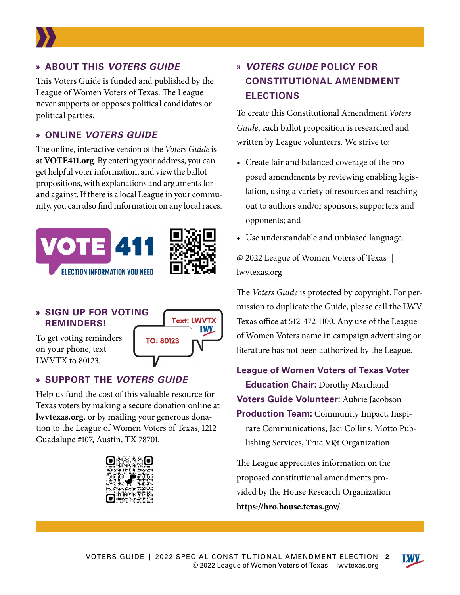<span id="page-1-0"></span>

### **» ABOUT THIS** *VOTERS GUIDE*

This Voters Guide is funded and published by the League of Women Voters of Texas. The League never supports or opposes political candidates or political parties.

### **» ONLINE** *VOTERS GUIDE*

The online, interactive version of the *Voters Guide* is at **[VOTE411.org](http://VOTE411.org)**. By entering your address, you can get helpful voter information, and view the ballot propositions, with explanations and arguments for and against. If there is a local League in your community, you can also find information on any local races.



### **» SIGN UP FOR VOTING REMINDERS!**

To get voting reminders on your phone, text LWVTX to 80123.



### **» SUPPORT THE** *VOTERS GUIDE*

Help us fund the cost of this valuable resource for Texas voters by making a secure donation online at **[lwvtexas.org](http://lwvtexas.org/donate)**, or by mailing your generous donation to the League of Women Voters of Texas, 1212 Guadalupe #107, Austin, TX 78701.



### **»** *VOTERS GUIDE* **POLICY FOR CONSTITUTIONAL AMENDMENT ELECTIONS**

To create this Constitutional Amendment *Voters Guide*, each ballot proposition is researched and written by League volunteers. We strive to:

- Create fair and balanced coverage of the proposed amendments by reviewing enabling legislation, using a variety of resources and reaching out to authors and/or sponsors, supporters and opponents; and
- Use understandable and unbiased language.

@ 2022 League of Women Voters of Texas | [lwvtexas.org](http://lwvtexas.org)

The *Voters Guide* is protected by copyright. For permission to duplicate the Guide, please call the LWV Texas office at 512-472-1100. Any use of the League of Women Voters name in campaign advertising or literature has not been authorized by the League.

**League of Women Voters of Texas Voter Education Chair:** Dorothy Marchand **Voters Guide Volunteer:** Aubrie Jacobson **Production Team:** Community Impact, Inspirare Communications, Jaci Collins, Motto Publishing Services, Truc Việt Organization

The League appreciates information on the proposed constitutional amendments provided by the House Research Organization **<https://hro.house.texas.gov/>**.

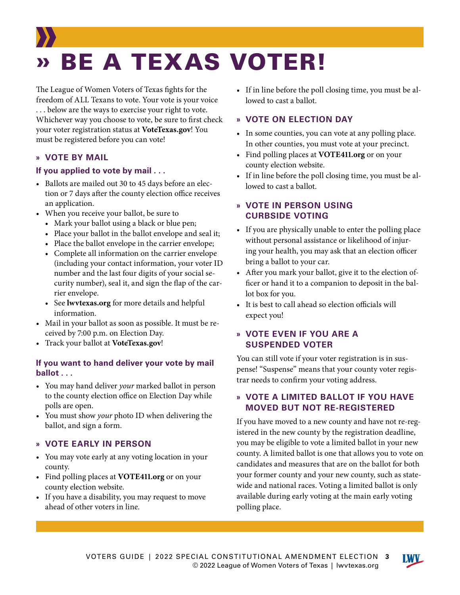## <span id="page-2-0"></span>» BE A TEXAS VOTER!

The League of Women Voters of Texas fights for the freedom of ALL Texans to vote. Your vote is your voice . . . below are the ways to exercise your right to vote. Whichever way you choose to vote, be sure to first check your voter registration status at **[VoteTexas.gov](http://VoteTexas.gov)**! You must be registered before you can vote!

### **» VOTE BY MAIL**

### **If you applied to vote by mail . . .**

- Ballots are mailed out 30 to 45 days before an election or 7 days after the county election office receives an application.
- When you receive your ballot, be sure to
	- Mark your ballot using a black or blue pen;
	- Place your ballot in the ballot envelope and seal it;
	- Place the ballot envelope in the carrier envelope;
	- Complete all information on the carrier envelope (including your contact information, your voter ID number and the last four digits of your social security number), seal it, and sign the flap of the carrier envelope.
	- See **[lwvtexas.org](http://lwvtexas.org)** for more details and helpful information.
- Mail in your ballot as soon as possible. It must be received by 7:00 p.m. on Election Day.
- Track your ballot at **[VoteTexas.gov](http://VoteTexas.gov)**!

### **If you want to hand deliver your vote by mail ballot . . .**

- You may hand deliver *your* marked ballot in person to the county election office on Election Day while polls are open.
- You must show *your* photo ID when delivering the ballot, and sign a form.

#### **» VOTE EARLY IN PERSON**

- You may vote early at any voting location in your county.
- Find polling places at **[VOTE411.org](http://VOTE411.org)** or on your county election website.
- If you have a disability, you may request to move ahead of other voters in line.

• If in line before the poll closing time, you must be allowed to cast a ballot.

### **» VOTE ON ELECTION DAY**

- In some counties, you can vote at any polling place. In other counties, you must vote at your precinct.
- Find polling places at **[VOTE411.org](http://VOTE411.org)** or on your county election website.
- If in line before the poll closing time, you must be allowed to cast a ballot.

### **» VOTE IN PERSON USING CURBSIDE VOTING**

- If you are physically unable to enter the polling place without personal assistance or likelihood of injuring your health, you may ask that an election officer bring a ballot to your car.
- After you mark your ballot, give it to the election officer or hand it to a companion to deposit in the ballot box for you.
- It is best to call ahead so election officials will expect you!

### **» VOTE EVEN IF YOU ARE A SUSPENDED VOTER**

You can still vote if your voter registration is in suspense! "Suspense" means that your county voter registrar needs to confirm your voting address.

### **» VOTE A LIMITED BALLOT IF YOU HAVE MOVED BUT NOT RE-REGISTERED**

If you have moved to a new county and have not re-registered in the new county by the registration deadline, you may be eligible to vote a limited ballot in your new county. A limited ballot is one that allows you to vote on candidates and measures that are on the ballot for both your former county and your new county, such as statewide and national races. Voting a limited ballot is only available during early voting at the main early voting polling place.

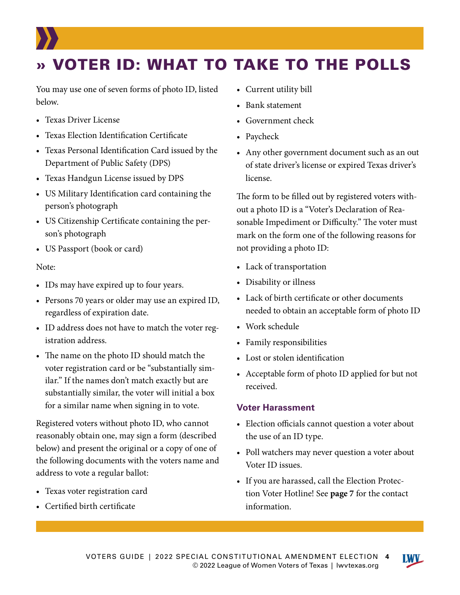### <span id="page-3-0"></span>» VOTER ID: WHAT TO TAKE TO THE POLLS

You may use one of seven forms of photo ID, listed below.

- Texas Driver License
- Texas Election Identification Certificate
- Texas Personal Identification Card issued by the Department of Public Safety (DPS)
- Texas Handgun License issued by DPS
- US Military Identification card containing the person's photograph
- US Citizenship Certificate containing the person's photograph
- US Passport (book or card)

#### Note:

- IDs may have expired up to four years.
- Persons 70 years or older may use an expired ID, regardless of expiration date.
- ID address does not have to match the voter registration address.
- The name on the photo ID should match the voter registration card or be "substantially similar." If the names don't match exactly but are substantially similar, the voter will initial a box for a similar name when signing in to vote.

Registered voters without photo ID, who cannot reasonably obtain one, may sign a form (described below) and present the original or a copy of one of the following documents with the voters name and address to vote a regular ballot:

- Texas voter registration card
- Certified birth certificate
- Current utility bill
- Bank statement
- Government check
- Paycheck
- Any other government document such as an out of state driver's license or expired Texas driver's license.

The form to be filled out by registered voters without a photo ID is a "Voter's Declaration of Reasonable Impediment or Difficulty." The voter must mark on the form one of the following reasons for not providing a photo ID:

- Lack of transportation
- Disability or illness
- Lack of birth certificate or other documents needed to obtain an acceptable form of photo ID
- Work schedule
- Family responsibilities
- Lost or stolen identification
- Acceptable form of photo ID applied for but not received.

#### **Voter Harassment**

- Election officials cannot question a voter about the use of an ID type.
- Poll watchers may never question a voter about Voter ID issues.
- If you are harassed, call the Election Protection Voter Hotline! See **[page 7](#page-6-0)** for the contact information.

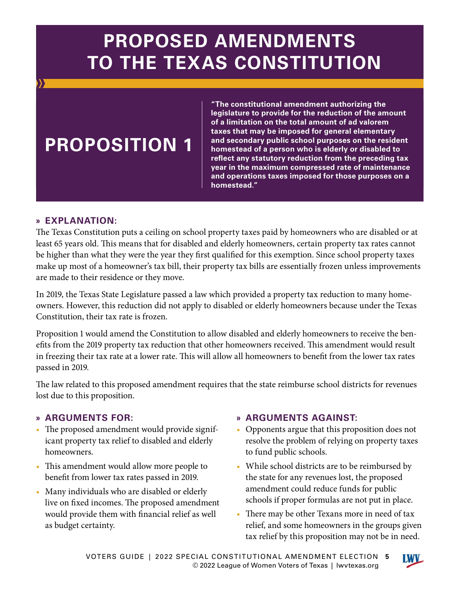## <span id="page-4-0"></span>**PROPOSED AMENDMENTS TO THE TEXAS CONSTITUTION**

### **PROPOSITION 1**

**"The constitutional amendment authorizing the legislature to provide for the reduction of the amount of a limitation on the total amount of ad valorem taxes that may be imposed for general elementary and secondary public school purposes on the resident homestead of a person who is elderly or disabled to reflect any statutory reduction from the preceding tax year in the maximum compressed rate of maintenance and operations taxes imposed for those purposes on a homestead."**

### **» EXPLANATION:**

The Texas Constitution puts a ceiling on school property taxes paid by homeowners who are disabled or at least 65 years old. This means that for disabled and elderly homeowners, certain property tax rates cannot be higher than what they were the year they first qualified for this exemption. Since school property taxes make up most of a homeowner's tax bill, their property tax bills are essentially frozen unless improvements are made to their residence or they move.

In 2019, the Texas State Legislature passed a law which provided a property tax reduction to many homeowners. However, this reduction did not apply to disabled or elderly homeowners because under the Texas Constitution, their tax rate is frozen.

Proposition 1 would amend the Constitution to allow disabled and elderly homeowners to receive the benefits from the 2019 property tax reduction that other homeowners received. This amendment would result in freezing their tax rate at a lower rate. This will allow all homeowners to benefit from the lower tax rates passed in 2019.

The law related to this proposed amendment requires that the state reimburse school districts for revenues lost due to this proposition.

### **» ARGUMENTS FOR:**

- The proposed amendment would provide significant property tax relief to disabled and elderly homeowners.
- This amendment would allow more people to benefit from lower tax rates passed in 2019.
- Many individuals who are disabled or elderly live on fixed incomes. The proposed amendment would provide them with financial relief as well as budget certainty.

### **» ARGUMENTS AGAINST:**

- Opponents argue that this proposition does not resolve the problem of relying on property taxes to fund public schools.
- While school districts are to be reimbursed by the state for any revenues lost, the proposed amendment could reduce funds for public schools if proper formulas are not put in place.
- There may be other Texans more in need of tax relief, and some homeowners in the groups given tax relief by this proposition may not be in need.

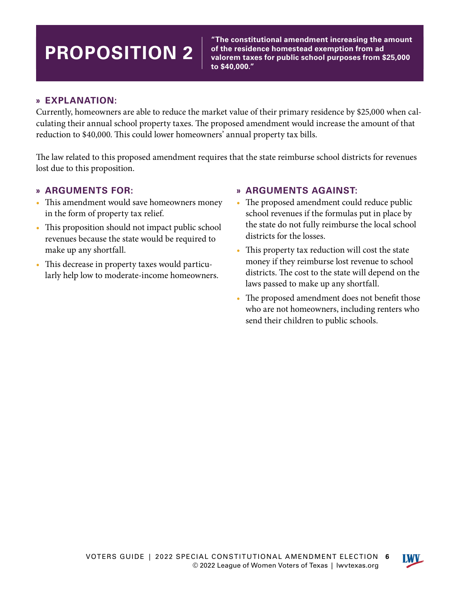## **PROPOSITION 2**

**"The constitutional amendment increasing the amount of the residence homestead exemption from ad valorem taxes for public school purposes from \$25,000 to \$40,000."**

### **» EXPLANATION:**

Currently, homeowners are able to reduce the market value of their primary residence by \$25,000 when calculating their annual school property taxes. The proposed amendment would increase the amount of that reduction to \$40,000. This could lower homeowners' annual property tax bills.

The law related to this proposed amendment requires that the state reimburse school districts for revenues lost due to this proposition.

### **» ARGUMENTS FOR:**

- This amendment would save homeowners money in the form of property tax relief.
- This proposition should not impact public school revenues because the state would be required to make up any shortfall.
- This decrease in property taxes would particularly help low to moderate-income homeowners.

### **» ARGUMENTS AGAINST:**

- The proposed amendment could reduce public school revenues if the formulas put in place by the state do not fully reimburse the local school districts for the losses.
- This property tax reduction will cost the state money if they reimburse lost revenue to school districts. The cost to the state will depend on the laws passed to make up any shortfall.
- The proposed amendment does not benefit those who are not homeowners, including renters who send their children to public schools.

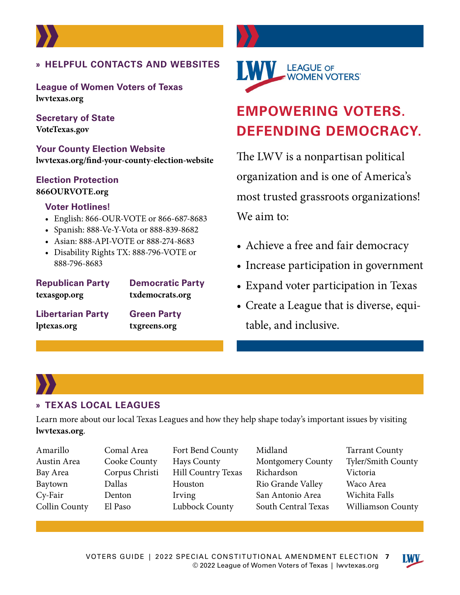<span id="page-6-0"></span>

**League of Women Voters of Texas [lwvtexas.org](http://lwvtexas.org)**

**Secretary of State [VoteTexas.gov](http://VoteTexas.gov)**

**Your County Election Website [lwvtexas.org/find-your-county-election-website](http://lwvtexas.org/find-your-county-election-website)**

### **Election Protection [866OURVOTE.org](http://866OURVOTE.org)**

### **Voter Hotlines!**

- English: 866-OUR-VOTE or 866-687-8683
- Spanish: 888-Ve-Y-Vota or 888-839-8682
- Asian: 888-API-VOTE or 888-274-8683
- Disability Rights TX: 888-796-VOTE or 888-796-8683

### **Republican Party Democratic Party [texasgop.org](http://texasgop.org) [txdemocrats.org](http://txdemocrats.org)**

**Libertarian Party Green Party [lptexas.org](http://lptexas.org) [txgreens.org](https://www.txgreens.org/)**



### **EMPOWERING VOTERS. DEFENDING DEMOCRACY.**

The LWV is a nonpartisan political organization and is one of America's most trusted grassroots organizations! We aim to:

- Achieve a free and fair democracy
- Increase participation in government
- Expand voter participation in Texas
- Create a League that is diverse, equitable, and inclusive.

### **» TEXAS LOCAL LEAGUES**

Learn more about our local Texas Leagues and how they help shape today's important issues by visiting **[lwvtexas.org](http://lwvtexas.org)**.

- Amarillo Austin Area Bay Area Baytown Cy-Fair Collin County
- Comal Area Cooke County Corpus Christi Dallas Denton El Paso
- Fort Bend County Hays County Hill Country Texas Houston Irving Lubbock County
- Midland Montgomery County Richardson Rio Grande Valley San Antonio Area South Central Texas
- Tarrant County Tyler/Smith County Victoria Waco Area Wichita Falls Williamson County